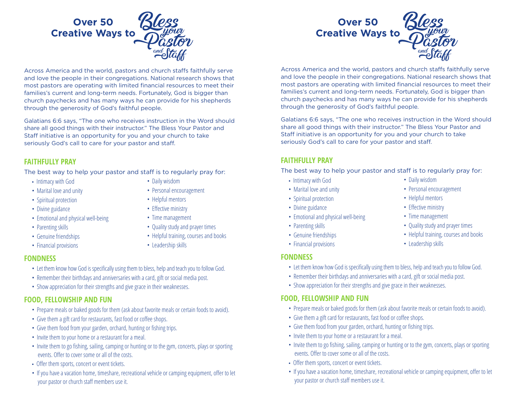

Across America and the world, pastors and church staffs faithfully serve and love the people in their congregations. National research shows that most pastors are operating with limited financial resources to meet their families's current and long-term needs. Fortunately, God is bigger than church paychecks and has many ways he can provide for his shepherds through the generosity of God's faithful people.

Galatians 6:6 says, "The one who receives instruction in the Word should share all good things with their instructor." The Bless Your Pastor and Staff initiative is an opportunity for you and your church to take seriously God's call to care for your pastor and staff.

## **FAITHFULLY PRAY**

The best way to help your pastor and staff is to regularly pray for:

- Intimacy with God
- Marital love and unity
- Spiritual protection
- Divine guidance
- Emotional and physical well-being
- Parenting skills
- Genuine friendships
- Financial provisions
- Daily wisdom
- Personal encouragement
- Helpful mentors
- Effective ministry
- Time management
- Quality study and prayer times
- Helpful training, courses and books
- Leadership skills

## **FONDNESS**

- Let them know how God is specifically using them to bless, help and teach you to follow God.
- Remember their birthdays and anniversaries with a card, gift or social media post.
- Show appreciation for their strengths and give grace in their weaknesses.

# **FOOD, FELLOWSHIP AND FUN**

- Prepare meals or baked goods for them (ask about favorite meals or certain foods to avoid).
- Give them a gift card for restaurants, fast food or coffee shops.
- Give them food from your garden, orchard, hunting or fishing trips.
- Invite them to your home or a restaurant for a meal.
- Invite them to go fishing, sailing, camping or hunting or to the gym, concerts, plays or sporting events. Offer to cover some or all of the costs.
- Offer them sports, concert or event tickets.
- If you have a vacation home, timeshare, recreational vehicle or camping equipment, offer to let your pastor or church staff members use it.



Across America and the world, pastors and church staffs faithfully serve and love the people in their congregations. National research shows that most pastors are operating with limited financial resources to meet their families's current and long-term needs. Fortunately, God is bigger than church paychecks and has many ways he can provide for his shepherds through the generosity of God's faithful people.

Galatians 6:6 says, "The one who receives instruction in the Word should share all good things with their instructor." The Bless Your Pastor and Staff initiative is an opportunity for you and your church to take seriously God's call to care for your pastor and staff.

# **FAITHFULLY PRAY**

The best way to help your pastor and staff is to regularly pray for:

- Intimacy with God
- Marital love and unity
- Spiritual protection
- Divine guidance
- Emotional and physical well-being
- Parenting skills
- Genuine friendships
- Financial provisions

## **FONDNESS**

- Let them know how God is specifically using them to bless, help and teach you to follow God.
- Remember their birthdays and anniversaries with a card, gift or social media post.
- Show appreciation for their strengths and give grace in their weaknesses.

## **FOOD, FELLOWSHIP AND FUN**

- Prepare meals or baked goods for them (ask about favorite meals or certain foods to avoid).
- Give them a gift card for restaurants, fast food or coffee shops.
- Give them food from your garden, orchard, hunting or fishing trips.
- Invite them to your home or a restaurant for a meal.
- Invite them to go fishing, sailing, camping or hunting or to the gym, concerts, plays or sporting events. Offer to cover some or all of the costs.
- Offer them sports, concert or event tickets.
- If you have a vacation home, timeshare, recreational vehicle or camping equipment, offer to let your pastor or church staff members use it.
- Daily wisdom
- Personal encouragement
- Helpful mentors
- Effective ministry
- Time management
- Quality study and prayer times
- Helpful training, courses and books
- Leadership skills